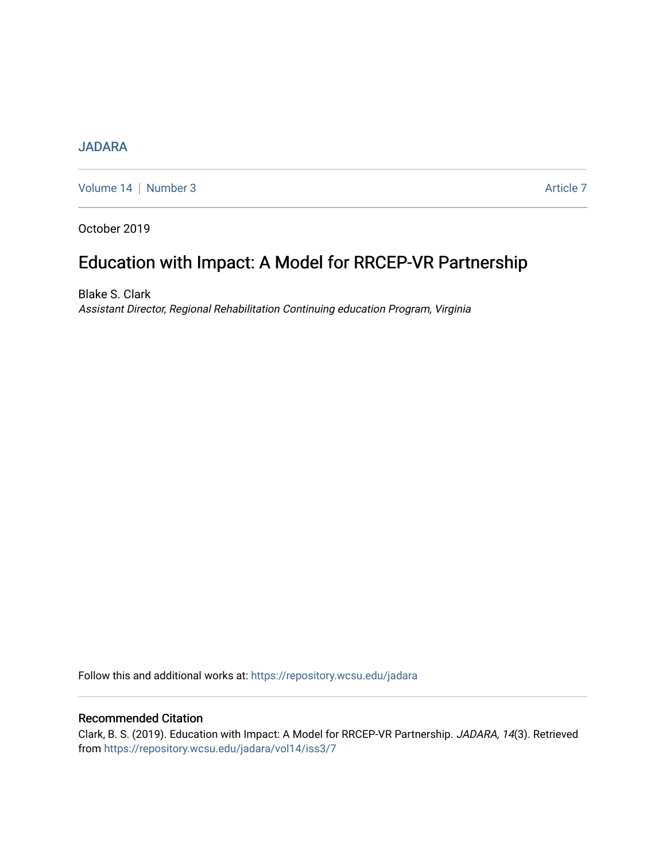# **[JADARA](https://repository.wcsu.edu/jadara)**

[Volume 14](https://repository.wcsu.edu/jadara/vol14) | [Number 3](https://repository.wcsu.edu/jadara/vol14/iss3) Article 7

October 2019

# Education with Impact: A Model for RRCEP-VR Partnership

Blake S. Clark Assistant Director, Regional Rehabilitation Continuing education Program, Virginia

Follow this and additional works at: [https://repository.wcsu.edu/jadara](https://repository.wcsu.edu/jadara?utm_source=repository.wcsu.edu%2Fjadara%2Fvol14%2Fiss3%2F7&utm_medium=PDF&utm_campaign=PDFCoverPages)

# Recommended Citation

Clark, B. S. (2019). Education with Impact: A Model for RRCEP-VR Partnership. JADARA, 14(3). Retrieved from [https://repository.wcsu.edu/jadara/vol14/iss3/7](https://repository.wcsu.edu/jadara/vol14/iss3/7?utm_source=repository.wcsu.edu%2Fjadara%2Fvol14%2Fiss3%2F7&utm_medium=PDF&utm_campaign=PDFCoverPages)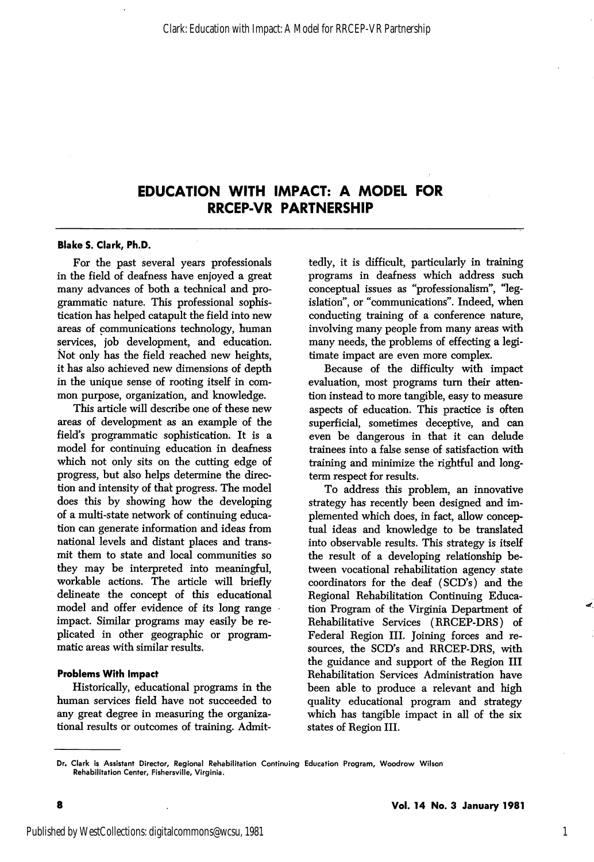# EDUCATION WITH IMPACT: A MODEL FOR RRCEP-VR PARTNERSHIP

#### Blake S. Clark, Ph.D.

For the past several years professionals in the field of deafness have enjoyed a great many advances of both a technical and pro grammatic nature. This professional sophis tication has helped catapult the field into new areas of communications technology, human services, job development, and education. Not only has the field reached new heights, it has also achieved new dimensions of depth in the unique sense of rooting itself in com mon purpose, organization, and knowledge.

This article will describe one of these new areas of development as an example of the field's programmatic sophistication. It is a model for continuing education in deafness which not only sits on the cutting edge of progress, but also helps determine the direc tion and intensity of thai progress. The model does this by showing how the developing of a multi-state network of continuing educa tion can generate information and ideas from national levels and distant places and trans mit them to state and local communities so they may be interpreted into meaningful, workable actions. The article will briefly delineate the concept of this educational model and offer evidence of its long range impact. Similar programs may easily be re plicated in other geographic or program matic areas with similar results.

#### Problems With Impact

Historically, educational programs in the human services field have not succeeded to any great degree in measuring the organiza tional results or outcomes of training. Admit

tedly, it is difficult, particularly in training programs in deafness which address such conceptual issues as "professionalism", "leg islation", or "communications". Indeed, when conducting training of a conference nature, involving many people from many areas with many needs, the problems of effecting a legi timate impact are even more complex.

Because of the difficulty with impact evaluation, most programs turn their atten tion instead to more tangible, easy to measure aspects of education. This practice is often superficial, sometimes deceptive, and can even be dangerous in that it can delude trainees into a false sense of satisfaction with training and minimize the rightful and longterm respect for results.

To address this problem, an innovative strategy has recently been designed and im plemented which does, in fact, allow concep tual ideas and knowledge to be translated into observable results. This strategy is itself the result of a developing relationship be tween vocational rehabilitation agency state coordinators for the deaf (SCD's) and the Regional Rehabilitation Continuing Educa tion Program of the Virginia Department of Rehabilitative Services (RRCEP-DRS) of Federal Region III. Joining forces and re sources, the SCD's and RRCEP-DRS, with the guidance and support of the Region III Rehabilitation Services Administration have been able to produce a relevant and high quality educational program and strategy which has tangible impact in all of the six states of Region III.

1

Dr. Clark is Assistant Director, Regional Rehabilitation Continuing Education Program, Woodrow Wilson Rehabilitation Center, Fishersville, Virginia.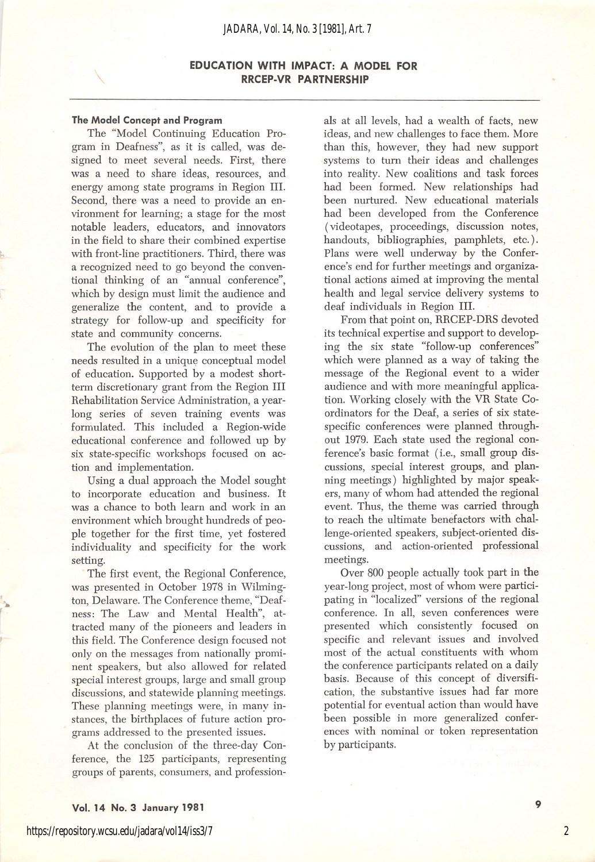#### *JADARA, Vol. 14, No. 3 [1981], Art. 7*

### EDUCATION WITH IMPACT: A MODEL FOR RRCEP-VR PARTNERSHIP

#### The Model Concept and Program

The "Model Continuing Education Pro gram in Deafness", as it is called, was de signed to meet several needs. First, there was a need to share ideas, resources, and energy among state programs in Region III. Second, there was a need to provide an en vironment for learning; a stage for the most notable leaders, educators, and innovators in the field to share their combined expertise with front-line practitioners. Third, there was a recognized need to go beyond the conven tional thinking of an "annual conference", which by design must limit the audience and generalize the content, and to provide a strategy for follow-up and specificity for state and community concerns.

The evolution of the plan to meet these needs resulted in a unique conceptual model of education. Supported by a modest shortterm discretionary grant from the Region III Rehabilitation Service Administration, a year long series of seven training events was formulated. This included a Region-wide educational conference and followed up by six state-specific workshops focused on ac tion and implementation.

Using a dual approach the Model sought to incorporate education and business. It was a chance to both learn and work in an environment which brought hundreds of peo ple together for the first time, yet fostered individuality and specificity for the work setting.

The first event, the Regional Conference, was presented in October 1978 in Wilming ton, Delaware. The Conference theme, "Deaf ness: The Law and Mental Health", at tracted many of the pioneers and leaders in this field. The Conference design focused not only on the messages from nationally promi nent speakers, but also allowed for related special interest groups, large and small group discussions, and statewide planning meetings. These planning meetings were, in many in stances, the birthplaces of future action pro grams addressed to the presented issues.

At the conclusion of the three-day Con ference, the 125 participants, representing groups of parents, consumers, and profession

als at all levels, had a wealth of facts, new ideas, and new challenges to face them. More than this, however, they had new support systems to turn their ideas and challenges into reality. New coalitions and task forces had been formed. New relationships had been nurtured. New educational materials had been developed from the Conference (videotapes, proceedings, discussion notes, handouts, bibliographies, pamphlets, etc.). Plans were well underway by the Confer ence's end for further meetings and organiza tional actions aimed at improving the mental health and legal service delivery systems to deaf individuals in Region III.

From that point on, RRCEP-DRS devoted its technical expertise and support to develop ing the six state "follow-up conferences" which were planned as a way of taking the message of the Regional event to a wider audience and with more meaningful applica tion. Working closely with the VR State Co ordinators for the Deaf, a series of six statespecific conferences were planned through out 1979. Each state used the regional con ference's basic format (i.e., small group dis cussions, special interest groups, and plan ning meetings) highlighted by major speak ers, many of whom had attended the regional event. Thus, the theme was carried through to reach the ultimate benefactors with chal lenge-oriented speakers, subject-oriented dis cussions, and action-oriented professional meetings.

Over 800 people actually took part in the year-long project, most of whom were partici pating in "localized" versions of the regional conference. In all, seven conferences were presented which consistently focused on specific and relevant issues and involved most of the actual constituents with whom the conference participants related on a daily basis, because of this concept of diversifi cation, the substantive issues had far more potential for eventual action than would have been possible in more generalized confer ences with nominal or token representation by participants.

 $\circ$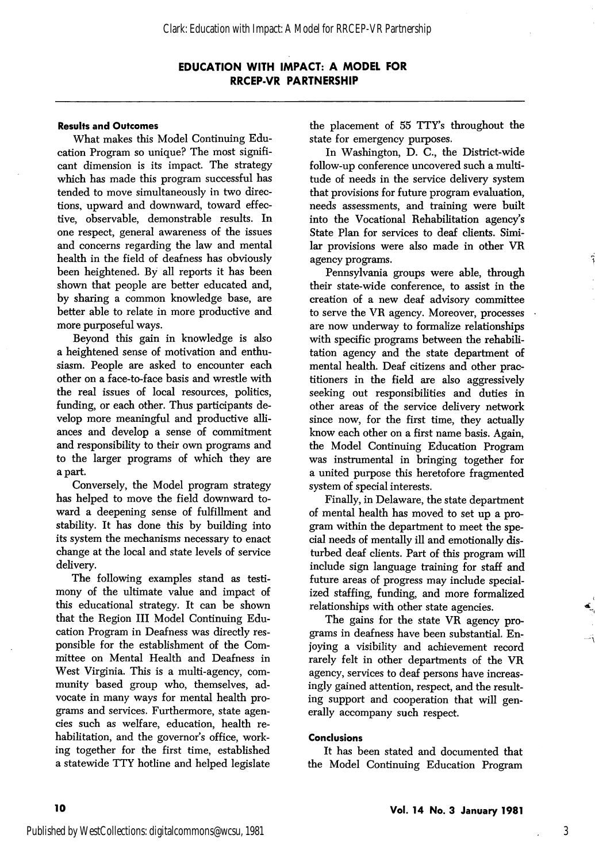## EDUCATION WITH IMPACT: A MODEL FOR RRCEP-VR PARTNERSHIP

## Results and Outcomes

What makes this Model Continuing Edu cation Program so unique? The most signifi cant dimension is its impact. The strategy which has made this program successful has tended to move simultaneously in two direc tions, upward and downward, toward effec tive, observable, demonstrable results. In one respect, general awareness of the issues and concerns regarding the law and mental health in the field of deafness has obviously been heightened. By all reports it has been shown that people are better educated and, by sharing a common knowledge base, are better able to relate in more productive and more purposeful ways.

Beyond this gain in knowledge is also a heightened sense of motivation and enthu siasm. People are asked to encounter each other on a face-to-face basis and wrestle with the real issues of local resources, politics, funding, or each other. Thus participants de velop more meaningful and productive alli ances and develop a sense of commitment and responsibility to their own programs and to the larger programs of which they are a part.

Conversely, the Model program strategy has helped to move the field downward to ward a deepening sense of fulfillment and stability. It has done this by building into its system the mechanisms necessary to enact change at the local and state levels of service delivery.

The following examples stand as testi mony of the ultimate value and impact of this educational strategy. It can be shown that the Region III Model Continuing Edu cation Program in Deafness was directly res ponsible for the establishment of the Com mittee on Mental Health and Deafness in West Virginia. This is a multi-agency, com munity based group who, themselves, ad vocate in many ways for mental health pro grams and services. Furthermore, state agen cies such as welfare, education, health re habilitation, and the governor's office, working together for the first time, established a statewide TTY hotline and helped legislate

the placement of 55 TTY's throughout the state for emergency purposes.

In Washington, D. C., the District-wide follow-up conference uncovered such a multi tude of needs in the service delivery system that provisions for future program evaluation, needs assessments, and training were built into the Vocational Rehabilitation agency's State Plan for services to deaf clients. Simi lar provisions were also made in other VR agency programs.

Pennsylvania groups were able, through their state-wide conference, to assist in the creation of a new deaf advisory committee to serve the VR agency. Moreover, processes are now underway to formalize relationships with specific programs between the rehabili tation agency and the state department of mental health. Deaf citizens and other prac titioners in the field are also aggressively seeking out responsibilities and duties in other areas of the service delivery network since now, for the first time, they actually know each other on a first name basis. Again, the Model Continuing Education Program was instrumental in bringing together for a united purpose this heretofore fragmented system of special interests.

Finally, in Delaware, the state department of mental health has moved to set up a pro gram within the department to meet the special needs of mentally ill and emotionally dis turbed deaf clients. Part of this program will include sign language training for staff and future areas of progress may include special ized staffing, funding, and more formalized relationships with other state agencies.

The gains for the state VR agency pro grams in deafness have been substantial. En joying a visibility and achievement record rarely felt in other departments of the VR agency, services to deaf persons have increas ingly gained attention, respect, and the result ing support and cooperation that will gen erally accompany such respect.

#### Conclusions

It has been stated and documented that the Model Continuing Education Program